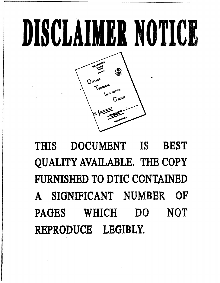# **DISCLAIMER NOTICE**



THIS **DOCUMENT** IS **BEST** QUALITY AVAILABLE. THE COPY FURNISHED TO DTIC **CONTAINED A** SIGNIFICANT **NUMBER** OF **PAGES** WHICH **DO** NOT REPRODUCE LEGIBLY,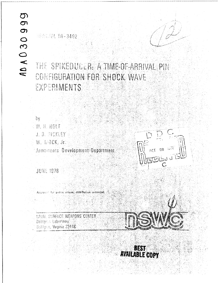# **OD**  $\sigma$ ADA030

THE SPIKEDUCLR: A TIME-OF-ARRIVAL PIN CONFIGURATION FOR SHOCK WAVE EXPERIMENTS

by IM. H. HOLT U. B. BICKLEY W. MOCK, Jr. Armaments Development Department

15 WO/GL TR-3492

 $007 - 20$ 

JUNE 1076

for public related, distribution unlimited Approvirt

NAVAL SURFACE WEAPONS CENTER Dahloren Laborstory Dablijnen, Virginia 22446

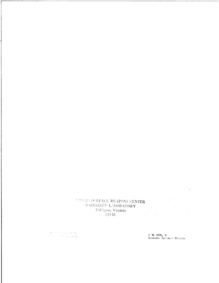# NAVAL SURFACE WEAPONS CENTER **DAILGREN LABORATORY** Dahlgren, Virginia  $\left[22448\right]$

 $\mathcal{L}^{\text{max}}_{\text{max}}$  and  $\mathcal{L}^{\text{max}}_{\text{max}}$ 

 $\bar{\beta}$ 

 $\sim$ 

 $\label{eq:1} \begin{split} \mathcal{A} & \mathcal{A} \otimes \mathcal{A} \otimes \mathcal{A} \otimes \mathcal{A} \otimes \mathcal{A} \otimes \mathcal{A} \otimes \mathcal{A} \otimes \mathcal{A} \otimes \mathcal{A} \otimes \mathcal{A} \otimes \mathcal{A} \otimes \mathcal{A} \otimes \mathcal{A} \otimes \mathcal{A} \otimes \mathcal{A} \otimes \mathcal{A} \otimes \mathcal{A} \otimes \mathcal{A} \otimes \mathcal{A} \otimes \mathcal{A} \otimes \mathcal{A} \otimes \mathcal{A} \otimes \mathcal$ 

 $\sim 10^{11}$  and  $\sim 10^{11}$ 

 $\mathcal{A}^{\mathcal{A}}$ 

L. H. Mills, Jr. ....<br>Associate Technical Director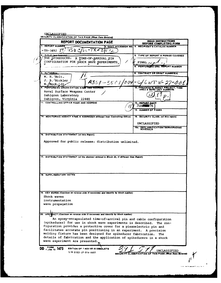| <b>REPORT DOCUMENTATION PAGE</b>                                                                                                                                                                                                                                                                                                                                                                                                                                                                            | <b>READ INSTRUCTIONS</b><br><b>BEFORE COMPLETING FORM</b>   |
|-------------------------------------------------------------------------------------------------------------------------------------------------------------------------------------------------------------------------------------------------------------------------------------------------------------------------------------------------------------------------------------------------------------------------------------------------------------------------------------------------------------|-------------------------------------------------------------|
| <b>1. REPORT NUMBER</b>                                                                                                                                                                                                                                                                                                                                                                                                                                                                                     | 2. GOVT ACCESSION NO. 3. RECIPIENT'S CATALOG NUMBER         |
| から伝どん<br>$-$ TR-3492 17                                                                                                                                                                                                                                                                                                                                                                                                                                                                                     |                                                             |
| TITLE Cond Subtille                                                                                                                                                                                                                                                                                                                                                                                                                                                                                         | 5. TYPE OF REPORT & PERIOD COVERED                          |
| THE SPIKEDUCER:<br>A TIME-OF-ARRIVAL PIN                                                                                                                                                                                                                                                                                                                                                                                                                                                                    |                                                             |
| CONFIGURATION FOR SHOCK WAVE EXPERIMENTS                                                                                                                                                                                                                                                                                                                                                                                                                                                                    | FINAL $\mu$                                                 |
|                                                                                                                                                                                                                                                                                                                                                                                                                                                                                                             | <b>6. PERFORMING ORG. REPORT NUMBER</b>                     |
| <b>AUTHOR(AL</b>                                                                                                                                                                                                                                                                                                                                                                                                                                                                                            | <b>8. CONTRACT OR GRANT NUMBER(s)</b>                       |
| W. H. / Holt.                                                                                                                                                                                                                                                                                                                                                                                                                                                                                               |                                                             |
| J. B. Bickley<br>9351—2512/094-                                                                                                                                                                                                                                                                                                                                                                                                                                                                             |                                                             |
| W./Mock, Jr.<br><b>5. PERFORMING ORGANIZATION NAME AND ADDRESS</b>                                                                                                                                                                                                                                                                                                                                                                                                                                          | 10. PROGRAM ELEMENT, PROJECT,                               |
| Naval Surface Weapons Center                                                                                                                                                                                                                                                                                                                                                                                                                                                                                | AREA &                                                      |
| Dahlgren Laboratory                                                                                                                                                                                                                                                                                                                                                                                                                                                                                         |                                                             |
| Dahlgren, Virginia 22448                                                                                                                                                                                                                                                                                                                                                                                                                                                                                    |                                                             |
| 11. CONTROLLING OFFICE NAME AND ADDRESS                                                                                                                                                                                                                                                                                                                                                                                                                                                                     | 12. REPORT DATE                                             |
|                                                                                                                                                                                                                                                                                                                                                                                                                                                                                                             | Jun                                                         |
|                                                                                                                                                                                                                                                                                                                                                                                                                                                                                                             | <b>13. NUMBER OF PAGES</b>                                  |
| 14. MONITORING AGENCY NAME & ADDRESS(If different from Controlling Office)                                                                                                                                                                                                                                                                                                                                                                                                                                  | 15. SECURITY CLASS. (of this report)                        |
|                                                                                                                                                                                                                                                                                                                                                                                                                                                                                                             |                                                             |
|                                                                                                                                                                                                                                                                                                                                                                                                                                                                                                             | <b>UNCLASSIFIED</b>                                         |
|                                                                                                                                                                                                                                                                                                                                                                                                                                                                                                             | <b>15a. DECLASSIFICATION/DOWNGRADING</b>                    |
|                                                                                                                                                                                                                                                                                                                                                                                                                                                                                                             |                                                             |
|                                                                                                                                                                                                                                                                                                                                                                                                                                                                                                             |                                                             |
| Approved for public release; distribution unlimited.<br>17. DISTRIBUTION STATEMENT (of the ebstract entered in Block 20, if different from Report)<br><b>18. SUPPLEMENTARY NOTES</b>                                                                                                                                                                                                                                                                                                                        |                                                             |
|                                                                                                                                                                                                                                                                                                                                                                                                                                                                                                             |                                                             |
|                                                                                                                                                                                                                                                                                                                                                                                                                                                                                                             |                                                             |
|                                                                                                                                                                                                                                                                                                                                                                                                                                                                                                             |                                                             |
|                                                                                                                                                                                                                                                                                                                                                                                                                                                                                                             |                                                             |
|                                                                                                                                                                                                                                                                                                                                                                                                                                                                                                             |                                                             |
|                                                                                                                                                                                                                                                                                                                                                                                                                                                                                                             |                                                             |
|                                                                                                                                                                                                                                                                                                                                                                                                                                                                                                             |                                                             |
|                                                                                                                                                                                                                                                                                                                                                                                                                                                                                                             |                                                             |
| <b>IACT (Continue on reverse side if necessary and identify by block number)</b>                                                                                                                                                                                                                                                                                                                                                                                                                            |                                                             |
| An epoxy-encapsulated time-of-arrival pin and cable configuration                                                                                                                                                                                                                                                                                                                                                                                                                                           |                                                             |
|                                                                                                                                                                                                                                                                                                                                                                                                                                                                                                             | The con-                                                    |
|                                                                                                                                                                                                                                                                                                                                                                                                                                                                                                             |                                                             |
|                                                                                                                                                                                                                                                                                                                                                                                                                                                                                                             | The .                                                       |
| 19. KEY WORDS (Continue on reverse side if necessary and identify by block number)<br>Shock waves<br>instrumentation<br>wave propagation<br>$20.$ APS1<br>(spikeducer) for use in shock wave experiments is described.<br>figuration provides a protective cover for a piezoelectric pin and<br>facilitates accurate pin positioning in an experiment. A precision<br>molding fixture has been designed for spikeducer fabrication.<br>details of fabrication and the application of spikeducers in a shock |                                                             |
|                                                                                                                                                                                                                                                                                                                                                                                                                                                                                                             |                                                             |
| wave experiment are presented.                                                                                                                                                                                                                                                                                                                                                                                                                                                                              |                                                             |
| DD 1 JAN 73 1473<br><b>EDITION OF 1 NOV 65 IS OBSOLETE</b><br>S/N 0102-LF-014-6601                                                                                                                                                                                                                                                                                                                                                                                                                          | <b>UNCLASSIFIED</b><br><b>THIS PAGE (When Data Entered)</b> |

J.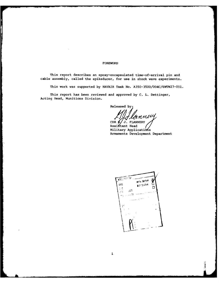#### FOREWORD

 $\mathcal{L}(\mathcal{L}^{\mathcal{L}})$  , where  $\mathcal{L}^{\mathcal{L}}$  , we have

This report describes an epoxy-encapsulated time-of-arrival pin and cable assembly, called the spikeducer, for use in shock wave experiments.

This work was supported **by** NAVAIR Task No. A350-3500/004C/6WTW27-001.

This report has been reviewed and approved **by C.** L. Dettinger, Acting Head, Munitions Division.

Released **by:**

LILLERNLW

Assitant Head Military Applications Armaments Development Department

**FORECALLY 127**<br>**WHILE SOCION PROTECTION** 2112  $\Box$  $\lesssim 3$  $\mathcal{C}^{\mathcal{C} \mathcal{A}}$ y.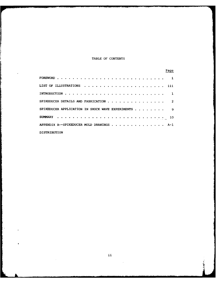#### TABLE OF **CONTENTS**

|                                                  |  |  |  |  |  |  |  |  |  |  |  |  | Page            |
|--------------------------------------------------|--|--|--|--|--|--|--|--|--|--|--|--|-----------------|
|                                                  |  |  |  |  |  |  |  |  |  |  |  |  |                 |
|                                                  |  |  |  |  |  |  |  |  |  |  |  |  |                 |
|                                                  |  |  |  |  |  |  |  |  |  |  |  |  |                 |
| SPIKEDUCER DETAILS AND FABRICATION 2             |  |  |  |  |  |  |  |  |  |  |  |  |                 |
| SPIKEDUCER APPLICATION IN SHOCK WAVE EXPERIMENTS |  |  |  |  |  |  |  |  |  |  |  |  | <b>Property</b> |
|                                                  |  |  |  |  |  |  |  |  |  |  |  |  | 10              |
| APPENDIX A--SPIKEDUCER MOLD DRAWINGS A-1         |  |  |  |  |  |  |  |  |  |  |  |  |                 |
| <b>DISTRIBUTION</b>                              |  |  |  |  |  |  |  |  |  |  |  |  |                 |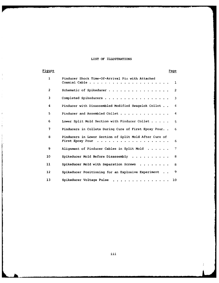## LIST OF ILLUSTRATIONS

 $\hat{\mathcal{A}}$ 

 $\frac{1}{2}$  $\lambda$ 

 $\frac{1}{4}$ 

 $\mathbf{r}$  $\hat{\gamma}$ 

 $\begin{aligned} \mathcal{V} &\rightarrow \mathcal{V} \mathcal{V} \end{aligned}$ 

÷

ľ

**The Charles Assessed Assessed** 

| Figure            |                                                         | Page |                |
|-------------------|---------------------------------------------------------|------|----------------|
| $\mathbf{1}$      | Pinducer Shock Time-Of-Arrival Pin with Attached        |      | $\mathbf{1}$   |
| $\overline{2}$    | Schematic of Spikeducer                                 |      | $\overline{a}$ |
| 3                 | Completed Spikeducers                                   |      | 3              |
| 4                 | Pinducer with Disassembled Modified Swaqelok Collet     |      | $\overline{4}$ |
| 5                 | Pinducer and Assembled Collet                           |      | 4              |
| 6                 | Lower Split Mold Section with Pinducer Collet           |      | 5              |
| 7                 | Pinducers in Collets During Cure of First Epoxy Pour. . |      | 6              |
| 8                 | Pinducers in Lower Section of Split Mold After Cure of  |      | 6              |
| 9                 | Alignment of Pinducer Cables in Split Mold              |      | $\mathcal{I}$  |
| 10                | Spikeducer Mold Before Disassembly                      |      | 8              |
| 11                | Spikeducer Mold with Separation Screws $\ldots$         |      | 8              |
| $12 \overline{ }$ | Spikeducer Positioning for an Explosive Experiment      |      | 9              |
| 13                | Spikeducer Voltage Pulse<br>.                           |      | 10             |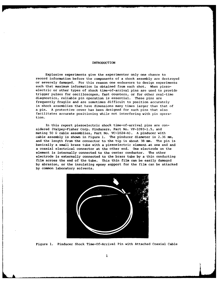#### INTRODUCTION

Explosive experiments give the experimenter only one chance to record information before the components of a shock assembly are destroyed or severely damaged. For this reason one endeavors to design experiments such that maximum information is obtained from each shot. When piezoelectric or other types of shock time-of-arrival pins are used to provide trigger pulses for oscilloscopes, fast counters, or for other real-time diagnostics, reliable pin operation is essential. These pins are frequently fragile and are sometimes difficult to position accurately in shock assemblies that have dimensions many times larger than that of a pin. **A** protective cover has been designed for such pins that also facilitates accurate positioning while not interfering with pin operation.

In this report piezoelectric shock time-of-arrival pins are considered (Valpey-Fisher Corp. Pinducers, Part No. **VP-1093-1.5,** and mating **50 Q** cable assemblies, Part No. VC-1024-A). **A** pinducer with cable assembly is shown in Figure **1.** The pinducer diameter is **2.36 mm,** and the length from the connector to the tip is about **38 mm.** The pin is basically a small brass tube with a piezoelectric element-at one end and a coaxial electrical connector at the other end. One electrode on the element is internally connected to the center conductor. The other electrode is externally connected to the brass tube **by** a thin conducting film across the end of the tube. This thin film can be easily damaged **by** abrasion, or the insulating epoxy support for the film can be attacked **by** common laboratory solvents.



Figure **1.** Pinducer Shock Time-Of-Arrival Pin with Attached Coaxial Cable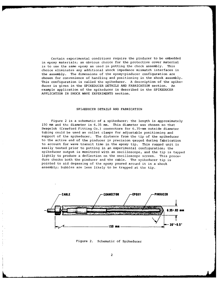Certain experimental conditions require the pinducer to be embedded in epoxy materials; an obvious choice for the protective cover material is to use the same epoxy as used in potting the chock assembly. This choice eliminates any additional shock impedance mismatch interfaces in the assembly. The dimensions of the epoxy-pinducer configuration are chosen for convenience of handling and positioning in the shock assembly. This configuration is called the spikeducer. A description of the spikeducer is given in the SPIKEDUCER DETAILS AND FABRICATION section. An example application of the spikeducer is described in the SPIKEDUCER APPLICATION IN SHOCK WAVE EXPERIMENTS section.

#### SPIKEDUCER DETAILS AND FABRICATION

Figure 2 is a schematic of a spikeducer; the length is approximately 150 mm and the diameter is 6.35 mm. This diameter was chosen so that Swagelok (Crawford Fitting Co.) connectors for 6.35-mm outside diameter tubing could be used as collet clamps for adjustable positioning and support of the spikeducer. The distance from the tip of the spikeducer to the active end of the pinducer is precision gauged during fabrication to account for wave transit time in the epoxy tip. This rugged unit is easily tested prior to potting in an experimental configuration; the spikeducer output is monitored with an oscilloscope, and the tip is tapped lightly to produce a deflection on the oscilloscope screen. This procedure checks both the pinducer and the cable. The spikeducer tip is pointed to aid degassing of the epoxy poured around it in a shock assembly; bubbles are less likely to be trapped at the tip.



Figure 2. Schematic of Spikeducer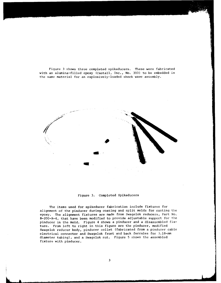Figure 3 shows three completed spikeducers. These were fabricated with an alumina-filled epoxy (Castall, Inc., No. 300) to be embedded in the same material for an explosively-loaded shock wave assembly.



Figure 3. Completed Spikeducers

The items used for spikeducer fabrication include fixtures for alignment of the pinducer during coating and split molds for casting the epoxy. The alignment fixtures are made from Swagelok reducers, Part No. B-200-R-4, that have been modified to provide adjustable support for the pinducer in the mold. Figure 4 shows a pinducer and a disassembled fixture. From left to right in this figure are the pinducer, modified Swagelok reducer body, pinducer collet (fabricated from a pinducer cable electrical connector and Swagelok front and back ferrules for 3.18-mm diameter tubing), and a Swagelok nut. Figure 5 shows the assembled fixture with pinducer.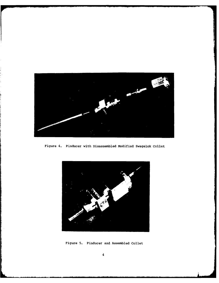

Figure 4. Pinducer with Disassembled Modified Swagelok Collet



Figure **5.** Pinducer and Assembled Collet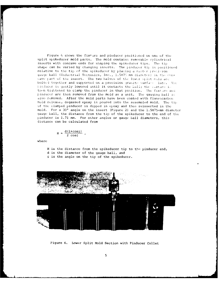Figure 6 shows the fixture and pinducer positioned on one of the split spikeducer mold parts. The mold contains removable cylindrical inserts with concave ends for shaping the spikeducer tips. The tip shape can be varied by changing inserts. The pinducer tip is positioned relative to the tip of the spikeducer by placing a master precision gauge ball (Industrial Tectonics, Inc., 1.5875 mm diameter) in the concave part of the insert. The two halves of the lower split rold are bolted together and supported on a precision granite surface late. The pinducer is gently lowered until it contacts the ball; the lixture is then tightened to clamp the pinducer in that position. The fixture and pinducer are then removed from the mold as a unit. The gauging ball is also removed. After the mold parts have been coated with fluorocarbon mold release, degassed epoxy is poured into the assembled mold. The tip of the clamped pinducer is dipped in epjoxy and then reinserted in the mold. For a **30** angle on the insert (Figure 2) and the 1.5875-mr diameter gauge ball, the distance from the tip of the spikeducer to the end of the pinducer is 1.71 mm. For other angles or gauge ball diameters, this distance can be calculated from

$$
H = \frac{d(l + \cos \phi)}{2 \cos \phi} ,
$$

where

- H is the distance from the spikeducer tip to the pinducer end, d is the diameter of the gauge ball, and
- $¢$  is the angle on the tip of the spikeducer.





Figure 6. Lower Split Mold Section with Pinducer Collet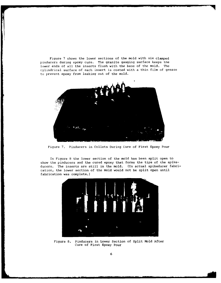Figure 7 shows the lower sections of the mold with six clamped pinducers during epoxy cure. The granite gauging surface keeps the lower ends of all the inserts flush with the base of the mold. The cylindrical surface of each insert is coated with a thin film of grease to prevent epoxy from leaking out of the mold.



Figure 7. Pinducers in Collets During Cure of First Epoxy Pour

In Figure 8 the lower section of the mold has been split open to show the pinducers and the cured epoxy that forms the tips of the spikeducers. The inserts are still in the mold. (In actual spikeducer fabrication, the lower section of the mold would not be split open until fabrication was complete.)



Figure 8. Pinducers in Lower Section of Split Mold After Cure of First Epoxy Pour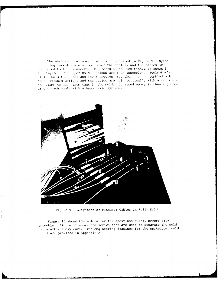The next step in fabrication is illustrated in Figure 9. Nylon centering ferrules are slipped over the cables, and the cables are connected to the pinducers. The ferrules are positioned as shown in the figure. The upper mold sections are then assembled. Toolmaker's  $\cdot$ lamps hold the upper and lower sections together. The assembled mold is positioned upright and the cables are held vertically with a ringstand **and** clml. to **keep** them taut in the mold. Degassed epoxy is then injected **.Around ach** cable with a hypodermic syringe.



Fiqure **9.** Alignment of Pinducer Cables in Split Mold

Figure **10** shows the mold after the epoxy has cured, before disassembly. Figure **11** shows the screws that are used to separate the mold parts after epoxy cure. The engineering drawings for the spikeducer mold parts are provided in Appendix **A.**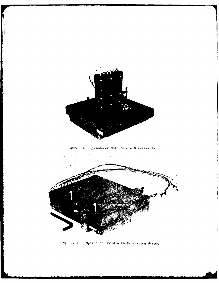

の「このこと」ということです。この「このこと」ということ」ということです。このことは、「このこと」ということになる。このことは、「このこと」ということになる。「このこと」ということになる。「このこと」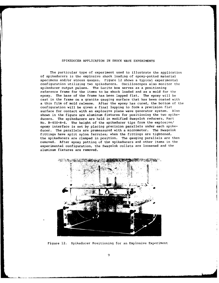#### SPIKEDUCER APPLICATION IN SHOCK WAVE EXPERIMENTS

The particular type of experiment used to illustrate the application of spikeducers is the explosive shock loading of epoxy-potted material specimens and/or stress gauges. Figure 12 shows a typical experimental configuration utilizing two spikeducers. Oscilloscopes also monitor the spikeducer output pulses. The Lucite box serves as a positioning reference frame for the items to be shock loaded and as a mold for the epoxy. The base of the frame has been lapped flat. The epoxy will be cast in the frame on a granite gauging surface that has been coated with a thin film of mold release. After the epoxy has cured, the bottom of the configuration will be given a final lapping to form a precision flat surface for contact with an explosive plane wave generator system. Also shown in the figure are aluminum fixtures for positioning the two spikeducers. The spikeducers are held in modified Swagelok reducers, Part No. B-400-R-6. The height of the spikeducer tips from the explosive/ epoxy interface is set by placing precision parallels under each spikeducer. The parallels are premeasured with a micrometer. The Swagelok fittings have split nylon ferrules; when the fittings are tightened, the spikeducers are clamped in position. The gauging parallels are then removed. After epoxy potting of the spikeducers and other items in the experimental configuration, the Swagelok collets are loosened and the aluminum fixtures are removed.



Figure 12. Spikeducer Positioning for an Explosive Experiment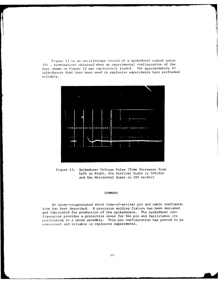Figure 13 is an oscilloscope record of a spikeducer output pulse (50 .. termination) obtained when an experimental configuration of the type shown in Figure 12 was explosively loaded. The approximately 20 spikeducers that have been used in explosive experiments have performed reliably.



Figure 13. Spikeducer Voltage Pulse (Time Increases from Left to Right, the Vertical Scale is 50V/div and the Horizontal Scale is **100** ns/div)

#### SUMMARY

An epoxy-encapsulated shock time-of-arrival pin and cable configuration has been described. A precision molding fixture has been designed and fabricated for production of the spikeducers. The spikeducer configuration provides a protective cover for the pin and facilitates its positioning in a shock assembly. This pin configuration has proved to be convenient and reliable in explosive experiments.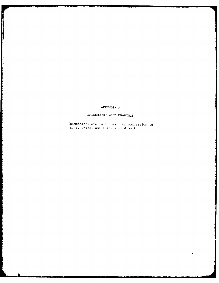### APPENDIX A

**The Company** 

**Program** 

# SPIKEDUCER MOLD DRAWINGS

(Dimensions are in inches; for conversion to S. I. units, use **I** in. = 25.4 mm.)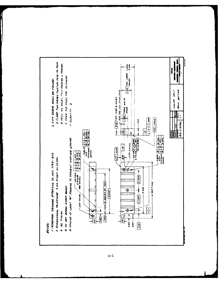

 $A-1$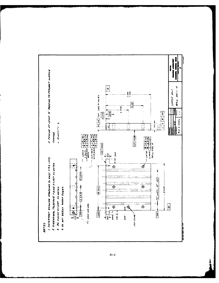

 $A - 2$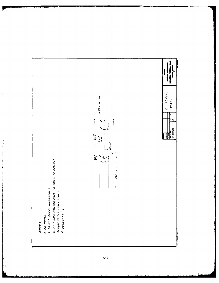